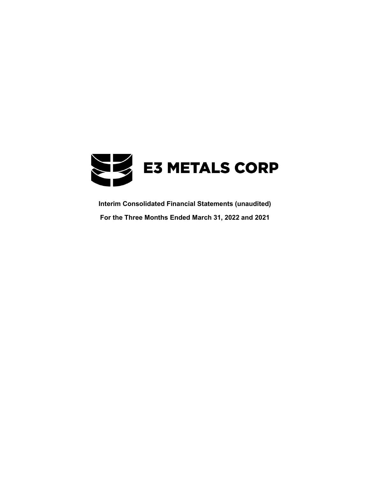

**Interim Consolidated Financial Statements (unaudited) For the Three Months Ended March 31, 2022 and 2021**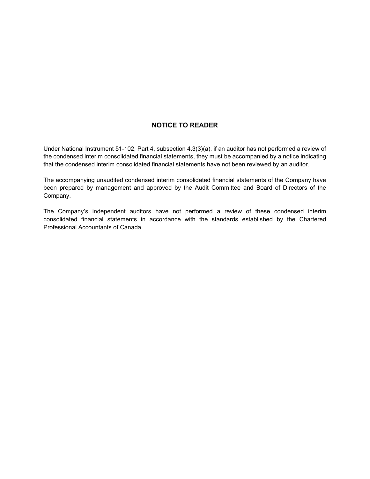# **NOTICE TO READER**

Under National Instrument 51-102, Part 4, subsection 4.3(3)(a), if an auditor has not performed a review of the condensed interim consolidated financial statements, they must be accompanied by a notice indicating that the condensed interim consolidated financial statements have not been reviewed by an auditor.

The accompanying unaudited condensed interim consolidated financial statements of the Company have been prepared by management and approved by the Audit Committee and Board of Directors of the Company.

The Company's independent auditors have not performed a review of these condensed interim consolidated financial statements in accordance with the standards established by the Chartered Professional Accountants of Canada.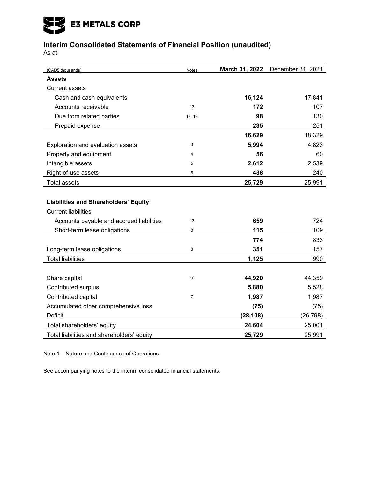# E3 METALS CORP

# **Interim Consolidated Statements of Financial Position (unaudited)**

As at

| (CAD\$ thousands)                           | Notes  | March 31, 2022 | December 31, 2021 |
|---------------------------------------------|--------|----------------|-------------------|
| <b>Assets</b>                               |        |                |                   |
| <b>Current assets</b>                       |        |                |                   |
| Cash and cash equivalents                   |        | 16,124         | 17,841            |
| Accounts receivable                         | 13     | 172            | 107               |
| Due from related parties                    | 12, 13 | 98             | 130               |
| Prepaid expense                             |        | 235            | 251               |
|                                             |        | 16,629         | 18,329            |
| Exploration and evaluation assets           | 3      | 5,994          | 4,823             |
| Property and equipment                      | 4      | 56             | 60                |
| Intangible assets                           | 5      | 2,612          | 2,539             |
| Right-of-use assets                         | 6      | 438            | 240               |
| <b>Total assets</b>                         |        | 25,729         | 25,991            |
|                                             |        |                |                   |
| <b>Liabilities and Shareholders' Equity</b> |        |                |                   |
| <b>Current liabilities</b>                  |        |                |                   |
| Accounts payable and accrued liabilities    | 13     | 659            | 724               |
| Short-term lease obligations                | 8      | 115            | 109               |
|                                             |        | 774            | 833               |
| Long-term lease obligations                 | 8      | 351            | 157               |
| <b>Total liabilities</b>                    |        | 1,125          | 990               |
|                                             |        |                |                   |
| Share capital                               | 10     | 44,920         | 44,359            |
| Contributed surplus                         |        | 5,880          | 5,528             |
| Contributed capital                         | 7      | 1,987          | 1,987             |
| Accumulated other comprehensive loss        |        | (75)           | (75)              |
| <b>Deficit</b>                              |        | (28, 108)      | (26, 798)         |
| Total shareholders' equity                  |        | 24,604         | 25,001            |
| Total liabilities and shareholders' equity  |        | 25,729         | 25,991            |

Note 1 – Nature and Continuance of Operations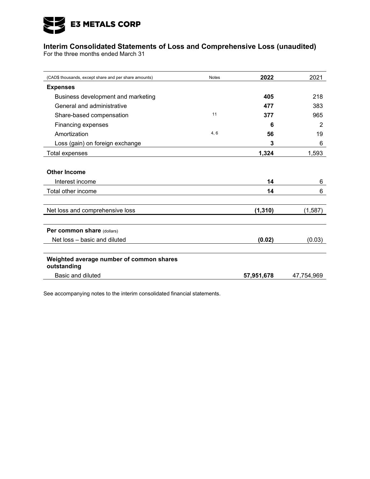

# **Interim Consolidated Statements of Loss and Comprehensive Loss (unaudited)**

For the three months ended March 31

| (CAD\$ thousands, except share and per share amounts)   | <b>Notes</b> | 2022       | 2021       |
|---------------------------------------------------------|--------------|------------|------------|
| <b>Expenses</b>                                         |              |            |            |
| Business development and marketing                      |              | 405        | 218        |
| General and administrative                              |              | 477        | 383        |
| Share-based compensation                                | 11           | 377        | 965        |
| Financing expenses                                      |              | 6          | 2          |
| Amortization                                            | 4,6          | 56         | 19         |
| Loss (gain) on foreign exchange                         |              | 3          | 6          |
| Total expenses                                          |              | 1,324      | 1,593      |
|                                                         |              |            |            |
| <b>Other Income</b>                                     |              |            |            |
| Interest income                                         |              | 14         | 6          |
| Total other income                                      |              | 14         | 6          |
|                                                         |              |            |            |
| Net loss and comprehensive loss                         |              | (1, 310)   | (1,587)    |
|                                                         |              |            |            |
| Per common share (dollars)                              |              |            |            |
| Net loss - basic and diluted                            |              | (0.02)     | (0.03)     |
|                                                         |              |            |            |
| Weighted average number of common shares<br>outstanding |              |            |            |
| Basic and diluted                                       |              | 57,951,678 | 47,754,969 |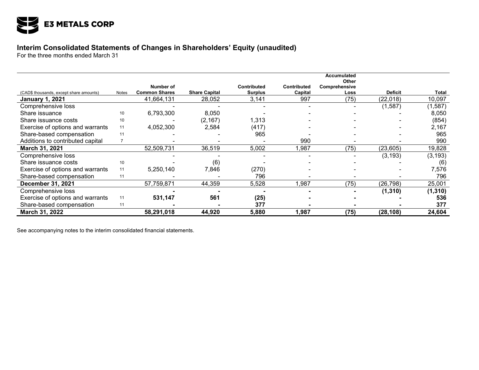

# **Interim Consolidated Statements of Changes in Shareholders' Equity (unaudited)**

For the three months ended March 31

|                                         |                  |                      |                      |                    |                    | <b>Accumulated</b><br>Other |                |              |
|-----------------------------------------|------------------|----------------------|----------------------|--------------------|--------------------|-----------------------------|----------------|--------------|
|                                         |                  | Number of            |                      | <b>Contributed</b> | <b>Contributed</b> | Comprehensive               |                |              |
| (CAD\$ thousands, except share amounts) | Notes            | <b>Common Shares</b> | <b>Share Capital</b> | <b>Surplus</b>     | Capital            | Loss                        | <b>Deficit</b> | <b>Total</b> |
| <b>January 1, 2021</b>                  |                  | 41,664,131           | 28,052               | 3,141              | 997                | (75)                        | (22, 018)      | 10,097       |
| Comprehensive loss                      |                  |                      |                      |                    |                    |                             | (1,587)        | (1,587)      |
| Share issuance                          | 10 <sup>10</sup> | 6,793,300            | 8,050                |                    |                    |                             |                | 8,050        |
| Share issuance costs                    | 10               |                      | (2, 167)             | 1,313              |                    |                             |                | (854)        |
| Exercise of options and warrants        | 11               | 4,052,300            | 2,584                | (417)              |                    |                             |                | 2,167        |
| Share-based compensation                | 11               |                      |                      | 965                |                    |                             |                | 965          |
| Additions to contributed capital        | $\overline{7}$   |                      |                      |                    | 990                |                             |                | 990          |
| March 31, 2021                          |                  | 52,509,731           | 36,519               | 5,002              | ,987               | (75)                        | (23, 605)      | 19,828       |
| Comprehensive loss                      |                  |                      |                      |                    |                    |                             | (3, 193)       | (3, 193)     |
| Share issuance costs                    | 10               |                      | (6)                  |                    |                    |                             |                | (6)          |
| Exercise of options and warrants        | 11               | 5,250,140            | 7,846                | (270)              |                    |                             |                | 7,576        |
| Share-based compensation                | 11               |                      |                      | 796                |                    |                             |                | 796          |
| December 31, 2021                       |                  | 57,759,871           | 44,359               | 5,528              | 1,987              | (75)                        | (26, 798)      | 25,001       |
| Comprehensive loss                      |                  |                      |                      |                    |                    |                             | (1, 310)       | (1, 310)     |
| Exercise of options and warrants        | 11               | 531,147              | 561                  | (25)               |                    |                             |                | 536          |
| Share-based compensation                | 11               |                      |                      | 377                |                    |                             |                | 377          |
| March 31, 2022                          |                  | 58,291,018           | 44,920               | 5,880              | 1,987              | (75)                        | (28, 108)      | 24,604       |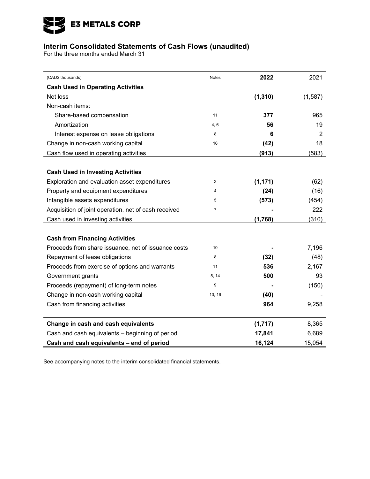

# **Interim Consolidated Statements of Cash Flows (unaudited)**

For the three months ended March 31

| (CAD\$ thousands)                                    | <b>Notes</b>   | 2022     | 2021    |
|------------------------------------------------------|----------------|----------|---------|
| <b>Cash Used in Operating Activities</b>             |                |          |         |
| Net loss                                             |                | (1, 310) | (1,587) |
| Non-cash items:                                      |                |          |         |
| Share-based compensation                             | 11             | 377      | 965     |
| Amortization                                         | 4, 6           | 56       | 19      |
| Interest expense on lease obligations                | 8              | 6        | 2       |
| Change in non-cash working capital                   | 16             | (42)     | 18      |
| Cash flow used in operating activities               |                | (913)    | (583)   |
| <b>Cash Used in Investing Activities</b>             |                |          |         |
| Exploration and evaluation asset expenditures        | 3              | (1, 171) | (62)    |
| Property and equipment expenditures                  | 4              | (24)     | (16)    |
| Intangible assets expenditures                       | 5              | (573)    | (454)   |
| Acquisition of joint operation, net of cash received | $\overline{7}$ |          | 222     |
| Cash used in investing activities                    |                | (1,768)  | (310)   |
|                                                      |                |          |         |
| <b>Cash from Financing Activities</b>                |                |          |         |
| Proceeds from share issuance, net of issuance costs  | 10             |          | 7,196   |
| Repayment of lease obligations                       | 8              | (32)     | (48)    |
| Proceeds from exercise of options and warrants       | 11             | 536      | 2,167   |
| Government grants                                    | 5, 14          | 500      | 93      |
| Proceeds (repayment) of long-term notes              | 9              |          | (150)   |
| Change in non-cash working capital                   | 10, 16         | (40)     |         |
| Cash from financing activities                       |                | 964      | 9,258   |
|                                                      |                |          |         |
| Change in cash and cash equivalents                  |                | (1, 717) | 8,365   |
| Cash and cash equivalents - beginning of period      |                | 17,841   | 6,689   |
| Cash and cash equivalents - end of period            |                | 16,124   | 15,054  |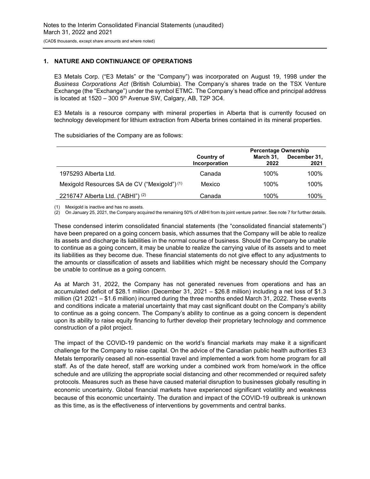# **1. NATURE AND CONTINUANCE OF OPERATIONS**

E3 Metals Corp. ("E3 Metals" or the "Company") was incorporated on August 19, 1998 under the *Business Corporations Act* (British Columbia). The Company's shares trade on the TSX Venture Exchange (the "Exchange") under the symbol ETMC. The Company's head office and principal address is located at  $1520 - 300$   $5<sup>th</sup>$  Avenue SW, Calgary, AB, T2P 3C4.

E3 Metals is a resource company with mineral properties in Alberta that is currently focused on technology development for lithium extraction from Alberta brines contained in its mineral properties.

The subsidiaries of the Company are as follows:

|                                              | <b>Percentage Ownership</b> |                   |                      |  |
|----------------------------------------------|-----------------------------|-------------------|----------------------|--|
|                                              | Country of<br>Incorporation | March 31,<br>2022 | December 31,<br>2021 |  |
| 1975293 Alberta Ltd.                         | Canada                      | 100%              | 100%                 |  |
| Mexigold Resources SA de CV ("Mexigold") (1) | Mexico                      | 100%              | 100%                 |  |
| 2216747 Alberta Ltd. ("ABHI") (2)            | Canada                      | 100%              | 100%                 |  |

(1) Mexigold is inactive and has no assets.

(2) On January 25, 2021, the Company acquired the remaining 50% of ABHI from its joint venture partner. See note 7 for further details.

These condensed interim consolidated financial statements (the "consolidated financial statements") have been prepared on a going concern basis, which assumes that the Company will be able to realize its assets and discharge its liabilities in the normal course of business. Should the Company be unable to continue as a going concern, it may be unable to realize the carrying value of its assets and to meet its liabilities as they become due. These financial statements do not give effect to any adjustments to the amounts or classification of assets and liabilities which might be necessary should the Company be unable to continue as a going concern.

As at March 31, 2022, the Company has not generated revenues from operations and has an accumulated deficit of \$28.1 million (December 31, 2021 – \$26.8 million) including a net loss of \$1.3 million (Q1 2021 – \$1.6 million) incurred during the three months ended March 31, 2022. These events and conditions indicate a material uncertainty that may cast significant doubt on the Company's ability to continue as a going concern. The Company's ability to continue as a going concern is dependent upon its ability to raise equity financing to further develop their proprietary technology and commence construction of a pilot project.

The impact of the COVID-19 pandemic on the world's financial markets may make it a significant challenge for the Company to raise capital. On the advice of the Canadian public health authorities E3 Metals temporarily ceased all non-essential travel and implemented a work from home program for all staff. As of the date hereof, staff are working under a combined work from home/work in the office schedule and are utilizing the appropriate social distancing and other recommended or required safety protocols. Measures such as these have caused material disruption to businesses globally resulting in economic uncertainty. Global financial markets have experienced significant volatility and weakness because of this economic uncertainty. The duration and impact of the COVID-19 outbreak is unknown as this time, as is the effectiveness of interventions by governments and central banks.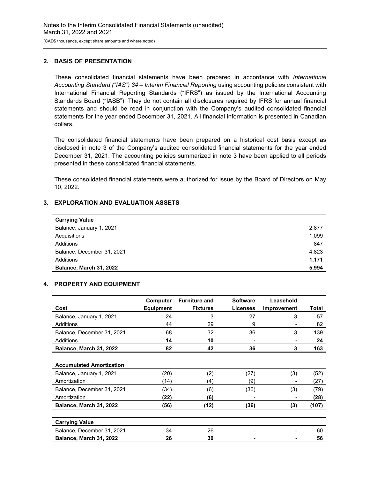## **2. BASIS OF PRESENTATION**

These consolidated financial statements have been prepared in accordance with *International Accounting Standard ("IAS") 34 – Interim Financial Reporting* using accounting policies consistent with International Financial Reporting Standards ("IFRS") as issued by the International Accounting Standards Board ("IASB"). They do not contain all disclosures required by IFRS for annual financial statements and should be read in conjunction with the Company's audited consolidated financial statements for the year ended December 31, 2021. All financial information is presented in Canadian dollars.

The consolidated financial statements have been prepared on a historical cost basis except as disclosed in note 3 of the Company's audited consolidated financial statements for the year ended December 31, 2021. The accounting policies summarized in note 3 have been applied to all periods presented in these consolidated financial statements.

These consolidated financial statements were authorized for issue by the Board of Directors on May 10, 2022.

# **3. EXPLORATION AND EVALUATION ASSETS**

| <b>Carrying Value</b>      |       |
|----------------------------|-------|
| Balance, January 1, 2021   | 2,877 |
| Acquisitions               | 1,099 |
| Additions                  | 847   |
| Balance, December 31, 2021 | 4.823 |
| Additions                  | 1,171 |
| Balance, March 31, 2022    | 5,994 |

## **4. PROPERTY AND EQUIPMENT**

|                                 | Computer         | <b>Furniture and</b> | <b>Software</b> | Leasehold   |       |
|---------------------------------|------------------|----------------------|-----------------|-------------|-------|
| Cost                            | <b>Equipment</b> | <b>Fixtures</b>      | <b>Licenses</b> | Improvement | Total |
| Balance, January 1, 2021        | 24               | 3                    | 27              | 3           | 57    |
| Additions                       | 44               | 29                   | 9               |             | 82    |
| Balance, December 31, 2021      | 68               | 32                   | 36              | 3           | 139   |
| Additions                       | 14               | 10                   |                 |             | 24    |
| Balance, March 31, 2022         | 82               | 42                   | 36              | 3           | 163   |
|                                 |                  |                      |                 |             |       |
| <b>Accumulated Amortization</b> |                  |                      |                 |             |       |
| Balance, January 1, 2021        | (20)             | (2)                  | (27)            | (3)         | (52)  |
| Amortization                    | (14)             | (4)                  | (9)             |             | (27)  |
| Balance, December 31, 2021      | (34)             | (6)                  | (36)            | (3)         | (79)  |
| Amortization                    | (22)             | (6)                  |                 |             | (28)  |
| Balance, March 31, 2022         | (56)             | (12)                 | (36)            | (3)         | (107) |
|                                 |                  |                      |                 |             |       |
| <b>Carrying Value</b>           |                  |                      |                 |             |       |
| Balance, December 31, 2021      | 34               | 26                   |                 |             | 60    |
| Balance, March 31, 2022         | 26               | 30                   |                 |             | 56    |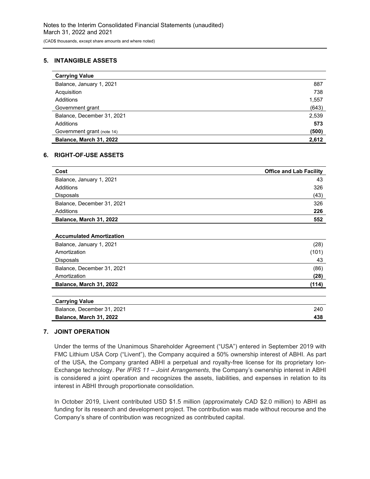# **5. INTANGIBLE ASSETS**

| <b>Carrying Value</b>      |       |
|----------------------------|-------|
| Balance, January 1, 2021   | 887   |
| Acquisition                | 738   |
| Additions                  | 1,557 |
| Government grant           | (643) |
| Balance, December 31, 2021 | 2,539 |
| Additions                  | 573   |
| Government grant (note 14) | (500) |
| Balance, March 31, 2022    | 2,612 |

### **6. RIGHT-OF-USE ASSETS**

| Cost                       | <b>Office and Lab Facility</b> |
|----------------------------|--------------------------------|
| Balance, January 1, 2021   | 43                             |
| Additions                  | 326                            |
| <b>Disposals</b>           | (43)                           |
| Balance, December 31, 2021 | 326                            |
| Additions                  | 226                            |
| Balance, March 31, 2022    | 552                            |

# **Accumulated Amortization**

| Balance, January 1, 2021   | (28)  |
|----------------------------|-------|
| Amortization               | (101) |
| <b>Disposals</b>           | 43    |
| Balance, December 31, 2021 | (86)  |
| Amortization               | (28)  |
| Balance, March 31, 2022    | (114) |
|                            |       |

| Carrying value             |     |
|----------------------------|-----|
| Balance, December 31, 2021 | 240 |
| Balance, March 31, 2022    | 438 |
|                            |     |

### **7. JOINT OPERATION**

**Carrying Value**

Under the terms of the Unanimous Shareholder Agreement ("USA") entered in September 2019 with FMC Lithium USA Corp ("Livent"), the Company acquired a 50% ownership interest of ABHI. As part of the USA, the Company granted ABHI a perpetual and royalty-free license for its proprietary Ion-Exchange technology. Per *IFRS 11 – Joint Arrangements*, the Company's ownership interest in ABHI is considered a joint operation and recognizes the assets, liabilities, and expenses in relation to its interest in ABHI through proportionate consolidation.

In October 2019, Livent contributed USD \$1.5 million (approximately CAD \$2.0 million) to ABHI as funding for its research and development project. The contribution was made without recourse and the Company's share of contribution was recognized as contributed capital.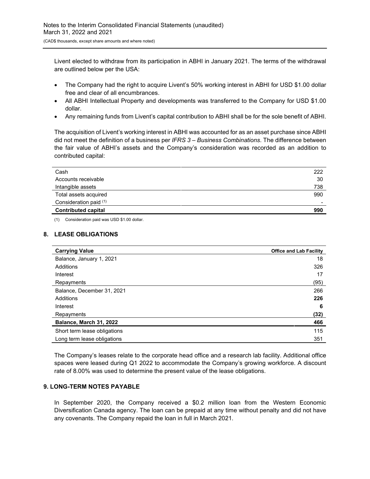Livent elected to withdraw from its participation in ABHI in January 2021. The terms of the withdrawal are outlined below per the USA:

- The Company had the right to acquire Livent's 50% working interest in ABHI for USD \$1.00 dollar free and clear of all encumbrances.
- All ABHI Intellectual Property and developments was transferred to the Company for USD \$1.00 dollar.
- Any remaining funds from Livent's capital contribution to ABHI shall be for the sole benefit of ABHI.

The acquisition of Livent's working interest in ABHI was accounted for as an asset purchase since ABHI did not meet the definition of a business per *IFRS 3 – Business Combinations*. The difference between the fair value of ABHI's assets and the Company's consideration was recorded as an addition to contributed capital:

| Cash                       | 222                      |
|----------------------------|--------------------------|
| Accounts receivable        | 30                       |
| Intangible assets          | 738                      |
| Total assets acquired      | 990                      |
| Consideration paid (1)     | $\overline{\phantom{a}}$ |
| <b>Contributed capital</b> | 990                      |

(1) Consideration paid was USD \$1.00 dollar.

# **8. LEASE OBLIGATIONS**

| <b>Carrying Value</b>        | <b>Office and Lab Facility</b> |
|------------------------------|--------------------------------|
| Balance, January 1, 2021     | 18                             |
| Additions                    | 326                            |
| Interest                     | 17                             |
| Repayments                   | (95)                           |
| Balance, December 31, 2021   | 266                            |
| Additions                    | 226                            |
| Interest                     | 6                              |
| Repayments                   | (32)                           |
| Balance, March 31, 2022      | 466                            |
| Short term lease obligations | 115                            |
| Long term lease obligations  | 351                            |

The Company's leases relate to the corporate head office and a research lab facility. Additional office spaces were leased during Q1 2022 to accommodate the Company's growing workforce. A discount rate of 8.00% was used to determine the present value of the lease obligations.

# **9. LONG-TERM NOTES PAYABLE**

In September 2020, the Company received a \$0.2 million loan from the Western Economic Diversification Canada agency. The loan can be prepaid at any time without penalty and did not have any covenants. The Company repaid the loan in full in March 2021.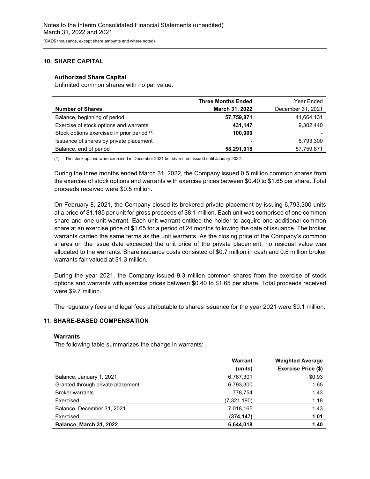# **10. SHARE CAPITAL**

### **Authorized Share Capital**

Unlimited common shares with no par value.

|                                             | <b>Three Months Ended</b> | Year Ended        |
|---------------------------------------------|---------------------------|-------------------|
| <b>Number of Shares</b>                     | March 31, 2022            | December 31, 2021 |
| Balance, beginning of period                | 57,759,871                | 41,664,131        |
| Exercise of stock options and warrants      | 431,147                   | 9,302,440         |
| Stock options exercised in prior period (1) | 100,000                   |                   |
| Issuance of shares by private placement     | ۰                         | 6,793,300         |
| Balance, end of period                      | 58,291,018                | 57,759,871        |
|                                             |                           |                   |

(1) The stock options were exercised in December 2021 but shares not issued until January 2022.

During the three months ended March 31, 2022, the Company issued 0.5 million common shares from the exercise of stock options and warrants with exercise prices between \$0.40 to \$1.65 per share. Total proceeds received were \$0.5 million.

On February 8, 2021, the Company closed its brokered private placement by issuing 6,793,300 units at a price of \$1.185 per unit for gross proceeds of \$8.1 million. Each unit was comprised of one common share and one unit warrant. Each unit warrant entitled the holder to acquire one additional common share at an exercise price of \$1.65 for a period of 24 months following the date of issuance. The broker warrants carried the same terms as the unit warrants. As the closing price of the Company's common shares on the issue date exceeded the unit price of the private placement, no residual value was allocated to the warrants. Share issuance costs consisted of \$0.7 million in cash and 0.6 million broker warrants fair valued at \$1.3 million.

During the year 2021, the Company issued 9.3 million common shares from the exercise of stock options and warrants with exercise prices between \$0.40 to \$1.65 per share. Total proceeds received were \$9.7 million.

The regulatory fees and legal fees attributable to shares issuance for the year 2021 were \$0.1 million.

# **11. SHARE-BASED COMPENSATION**

### **Warrants**

The following table summarizes the change in warrants:

|                                   | Warrant     | <b>Weighted Average</b> |
|-----------------------------------|-------------|-------------------------|
|                                   | (units)     | Exercise Price (\$)     |
| Balance, January 1, 2021          | 6,767,301   | \$0.93                  |
| Granted through private placement | 6,793,300   | 1.65                    |
| <b>Broker warrants</b>            | 778.754     | 1.43                    |
| Exercised                         | (7,321,190) | 1.18                    |
| Balance, December 31, 2021        | 7,018,165   | 1.43                    |
| Exercised                         | (374, 147)  | 1.01                    |
| Balance, March 31, 2022           | 6,644,018   | 1.40                    |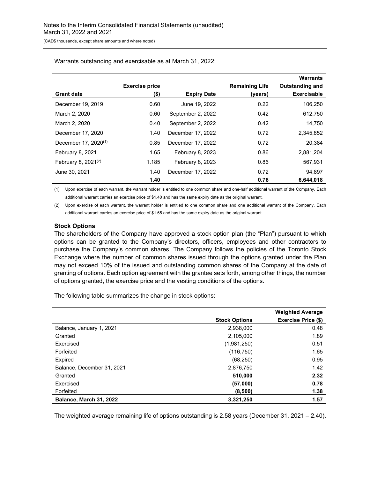|                                  |                               |                    |                                  | <b>Warrants</b>                              |
|----------------------------------|-------------------------------|--------------------|----------------------------------|----------------------------------------------|
| <b>Grant date</b>                | <b>Exercise price</b><br>(\$) | <b>Expiry Date</b> | <b>Remaining Life</b><br>(years) | <b>Outstanding and</b><br><b>Exercisable</b> |
| December 19, 2019                | 0.60                          | June 19, 2022      | 0.22                             | 106.250                                      |
| March 2, 2020                    | 0.60                          | September 2, 2022  | 0.42                             | 612.750                                      |
| March 2, 2020                    | 0.40                          | September 2, 2022  | 0.42                             | 14,750                                       |
| December 17, 2020                | 1.40                          | December 17, 2022  | 0.72                             | 2,345,852                                    |
| December 17, 2020 <sup>(1)</sup> | 0.85                          | December 17, 2022  | 0.72                             | 20,384                                       |
| February 8, 2021                 | 1.65                          | February 8, 2023   | 0.86                             | 2,881,204                                    |
| February 8, $2021^{(2)}$         | 1.185                         | February 8, 2023   | 0.86                             | 567,931                                      |
| June 30, 2021                    | 1.40                          | December 17, 2022  | 0.72                             | 94.897                                       |
|                                  | 1.40                          |                    | 0.76                             | 6.644.018                                    |

Warrants outstanding and exercisable as at March 31, 2022:

(1) Upon exercise of each warrant, the warrant holder is entitled to one common share and one-half additional warrant of the Company. Each additional warrant carries an exercise price of \$1.40 and has the same expiry date as the original warrant.

(2) Upon exercise of each warrant, the warrant holder is entitled to one common share and one additional warrant of the Company. Each additional warrant carries an exercise price of \$1.65 and has the same expiry date as the original warrant.

### **Stock Options**

The shareholders of the Company have approved a stock option plan (the "Plan") pursuant to which options can be granted to the Company's directors, officers, employees and other contractors to purchase the Company's common shares. The Company follows the policies of the Toronto Stock Exchange where the number of common shares issued through the options granted under the Plan may not exceed 10% of the issued and outstanding common shares of the Company at the date of granting of options. Each option agreement with the grantee sets forth, among other things, the number of options granted, the exercise price and the vesting conditions of the options.

The following table summarizes the change in stock options:

|                            |                      | <b>Weighted Average</b> |
|----------------------------|----------------------|-------------------------|
|                            | <b>Stock Options</b> | Exercise Price (\$)     |
| Balance, January 1, 2021   | 2,938,000            | 0.48                    |
| Granted                    | 2.105.000            | 1.89                    |
| Exercised                  | (1,981,250)          | 0.51                    |
| Forfeited                  | (116, 750)           | 1.65                    |
| Expired                    | (68, 250)            | 0.95                    |
| Balance, December 31, 2021 | 2,876,750            | 1.42                    |
| Granted                    | 510,000              | 2.32                    |
| Exercised                  | (57,000)             | 0.78                    |
| Forfeited                  | (8,500)              | 1.38                    |
| Balance, March 31, 2022    | 3,321,250            | 1.57                    |

The weighted average remaining life of options outstanding is 2.58 years (December 31, 2021 – 2.40).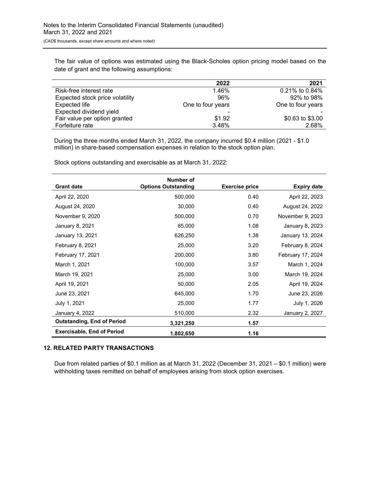The fair value of options was estimated using the Black-Scholes option pricing model based on the date of grant and the following assumptions:

|                                 | 2022              | 2021              |
|---------------------------------|-------------------|-------------------|
| Risk-free interest rate         | 1.46%             | 0.21% to 0.84%    |
| Expected stock price volatility | 96%               | 92% to 98%        |
| <b>Expected life</b>            | One to four years | One to four years |
| Expected dividend yield         |                   |                   |
| Fair value per option granted   | \$1.92            | \$0.63 to \$3.00  |
| Forfeiture rate                 | 3.48%             | 2.68%             |

During the three months ended March 31, 2022, the company incurred \$0.4 million (2021 - \$1.0 million) in share-based compensation expenses in relation to the stock option plan.

|                                   | Number of                  |                       |                    |
|-----------------------------------|----------------------------|-----------------------|--------------------|
| <b>Grant date</b>                 | <b>Options Outstanding</b> | <b>Exercise price</b> | <b>Expiry date</b> |
| April 22, 2020                    | 500,000                    | 0.40                  | April 22, 2023     |
| August 24, 2020                   | 30,000                     | 0.40                  | August 24, 2022    |
| November 9, 2020                  | 500,000                    | 0.70                  | November 9, 2023   |
| January 8, 2021                   | 85,000                     | 1.08                  | January 8, 2023    |
| January 13, 2021                  | 626,250                    | 1.38                  | January 13, 2024   |
| February 8, 2021                  | 25,000                     | 3.20                  | February 8, 2024   |
| February 17, 2021                 | 200,000                    | 3.80                  | February 17, 2024  |
| March 1, 2021                     | 100,000                    | 3.57                  | March 1, 2024      |
| March 19, 2021                    | 25,000                     | 3.00                  | March 19, 2024     |
| April 19, 2021                    | 50,000                     | 2.05                  | April 19, 2024     |
| June 23, 2021                     | 645,000                    | 1.70                  | June 23, 2026      |
| July 1, 2021                      | 25,000                     | 1.77                  | July 1, 2026       |
| January 4, 2022                   | 510,000                    | 2.32                  | January 2, 2027    |
| <b>Outstanding, End of Period</b> | 3,321,250                  | 1.57                  |                    |
| <b>Exercisable, End of Period</b> | 1,802,650                  | 1.16                  |                    |

Stock options outstanding and exercisable as at March 31, 2022:

### **12. RELATED PARTY TRANSACTIONS**

Due from related parties of \$0.1 million as at March 31, 2022 (December 31, 2021 – \$0.1 million) were withholding taxes remitted on behalf of employees arising from stock option exercises.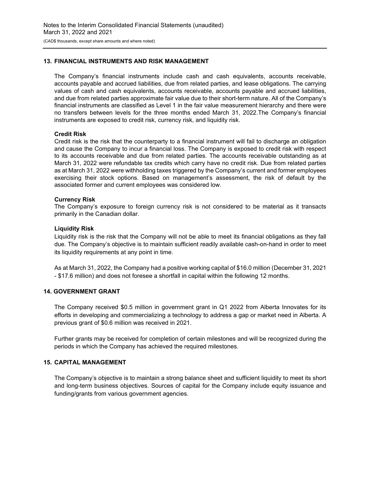## **13. FINANCIAL INSTRUMENTS AND RISK MANAGEMENT**

The Company's financial instruments include cash and cash equivalents, accounts receivable, accounts payable and accrued liabilities, due from related parties, and lease obligations. The carrying values of cash and cash equivalents, accounts receivable, accounts payable and accrued liabilities, and due from related parties approximate fair value due to their short-term nature. All of the Company's financial instruments are classified as Level 1 in the fair value measurement hierarchy and there were no transfers between levels for the three months ended March 31, 2022.The Company's financial instruments are exposed to credit risk, currency risk, and liquidity risk.

### **Credit Risk**

Credit risk is the risk that the counterparty to a financial instrument will fail to discharge an obligation and cause the Company to incur a financial loss. The Company is exposed to credit risk with respect to its accounts receivable and due from related parties. The accounts receivable outstanding as at March 31, 2022 were refundable tax credits which carry have no credit risk. Due from related parties as at March 31, 2022 were withholding taxes triggered by the Company's current and former employees exercising their stock options. Based on management's assessment, the risk of default by the associated former and current employees was considered low.

# **Currency Risk**

The Company's exposure to foreign currency risk is not considered to be material as it transacts primarily in the Canadian dollar.

# **Liquidity Risk**

Liquidity risk is the risk that the Company will not be able to meet its financial obligations as they fall due. The Company's objective is to maintain sufficient readily available cash-on-hand in order to meet its liquidity requirements at any point in time.

As at March 31, 2022, the Company had a positive working capital of \$16.0 million (December 31, 2021 - \$17.6 million) and does not foresee a shortfall in capital within the following 12 months.

# **14. GOVERNMENT GRANT**

The Company received \$0.5 million in government grant in Q1 2022 from Alberta Innovates for its efforts in developing and commercializing a technology to address a gap or market need in Alberta. A previous grant of \$0.6 million was received in 2021.

Further grants may be received for completion of certain milestones and will be recognized during the periods in which the Company has achieved the required milestones.

### **15. CAPITAL MANAGEMENT**

The Company's objective is to maintain a strong balance sheet and sufficient liquidity to meet its short and long-term business objectives. Sources of capital for the Company include equity issuance and funding/grants from various government agencies.